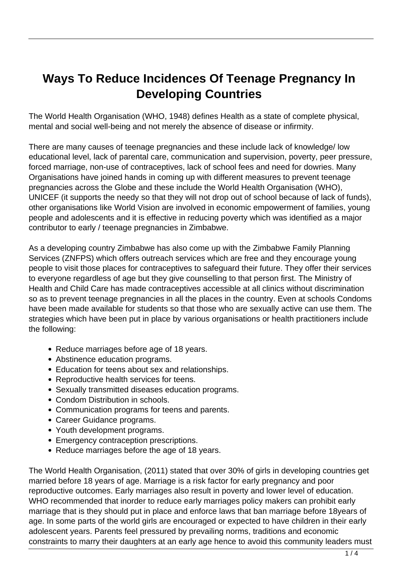# **Ways To Reduce Incidences Of Teenage Pregnancy In Developing Countries**

The World Health Organisation (WHO, 1948) defines Health as a state of complete physical, mental and social well-being and not merely the absence of disease or infirmity.

There are many causes of teenage pregnancies and these include lack of knowledge/ low educational level, lack of parental care, communication and supervision, poverty, peer pressure, forced marriage, non-use of contraceptives, lack of school fees and need for dowries. Many Organisations have joined hands in coming up with different measures to prevent teenage pregnancies across the Globe and these include the World Health Organisation (WHO), UNICEF (it supports the needy so that they will not drop out of school because of lack of funds), other organisations like World Vision are involved in economic empowerment of families, young people and adolescents and it is effective in reducing poverty which was identified as a major contributor to early / teenage pregnancies in Zimbabwe.

As a developing country Zimbabwe has also come up with the Zimbabwe Family Planning Services (ZNFPS) which offers outreach services which are free and they encourage young people to visit those places for contraceptives to safeguard their future. They offer their services to everyone regardless of age but they give counselling to that person first. The Ministry of Health and Child Care has made contraceptives accessible at all clinics without discrimination so as to prevent teenage pregnancies in all the places in the country. Even at schools Condoms have been made available for students so that those who are sexually active can use them. The strategies which have been put in place by various organisations or health practitioners include the following:

- Reduce marriages before age of 18 years.
- Abstinence education programs.
- Education for teens about sex and relationships.
- Reproductive health services for teens.
- Sexually transmitted diseases education programs.
- Condom Distribution in schools.
- Communication programs for teens and parents.
- Career Guidance programs.
- Youth development programs.
- Emergency contraception prescriptions.
- Reduce marriages before the age of 18 years.

The World Health Organisation, (2011) stated that over 30% of girls in developing countries get married before 18 years of age. Marriage is a risk factor for early pregnancy and poor reproductive outcomes. Early marriages also result in poverty and lower level of education. WHO recommended that inorder to reduce early marriages policy makers can prohibit early marriage that is they should put in place and enforce laws that ban marriage before 18years of age. In some parts of the world girls are encouraged or expected to have children in their early adolescent years. Parents feel pressured by prevailing norms, traditions and economic constraints to marry their daughters at an early age hence to avoid this community leaders must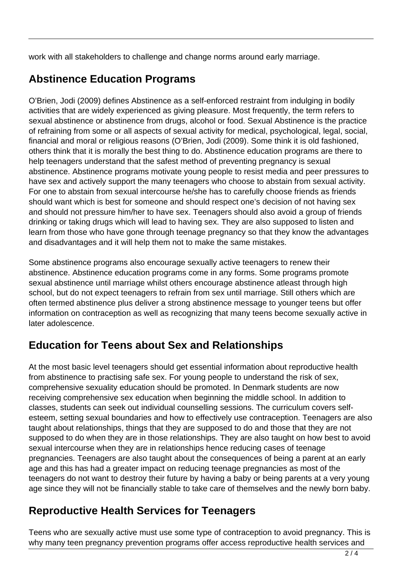work with all stakeholders to challenge and change norms around early marriage.

# **Abstinence Education Programs**

O'Brien, Jodi (2009) defines Abstinence as a self-enforced restraint from indulging in bodily activities that are widely experienced as giving pleasure. Most frequently, the term refers to sexual abstinence or abstinence from drugs, alcohol or food. Sexual Abstinence is the practice of refraining from some or all aspects of sexual activity for medical, psychological, legal, social, financial and moral or religious reasons (O'Brien, Jodi (2009). Some think it is old fashioned, others think that it is morally the best thing to do. Abstinence education programs are there to help teenagers understand that the safest method of preventing pregnancy is sexual abstinence. Abstinence programs motivate young people to resist media and peer pressures to have sex and actively support the many teenagers who choose to abstain from sexual activity. For one to abstain from sexual intercourse he/she has to carefully choose friends as friends should want which is best for someone and should respect one's decision of not having sex and should not pressure him/her to have sex. Teenagers should also avoid a group of friends drinking or taking drugs which will lead to having sex. They are also supposed to listen and learn from those who have gone through teenage pregnancy so that they know the advantages and disadvantages and it will help them not to make the same mistakes.

Some abstinence programs also encourage sexually active teenagers to renew their abstinence. Abstinence education programs come in any forms. Some programs promote sexual abstinence until marriage whilst others encourage abstinence atleast through high school, but do not expect teenagers to refrain from sex until marriage. Still others which are often termed abstinence plus deliver a strong abstinence message to younger teens but offer information on contraception as well as recognizing that many teens become sexually active in later adolescence.

# **Education for Teens about Sex and Relationships**

At the most basic level teenagers should get essential information about reproductive health from abstinence to practising safe sex. For young people to understand the risk of sex, comprehensive sexuality education should be promoted. In Denmark students are now receiving comprehensive sex education when beginning the middle school. In addition to classes, students can seek out individual counselling sessions. The curriculum covers selfesteem, setting sexual boundaries and how to effectively use contraception. Teenagers are also taught about relationships, things that they are supposed to do and those that they are not supposed to do when they are in those relationships. They are also taught on how best to avoid sexual intercourse when they are in relationships hence reducing cases of teenage pregnancies. Teenagers are also taught about the consequences of being a parent at an early age and this has had a greater impact on reducing teenage pregnancies as most of the teenagers do not want to destroy their future by having a baby or being parents at a very young age since they will not be financially stable to take care of themselves and the newly born baby.

#### **Reproductive Health Services for Teenagers**

Teens who are sexually active must use some type of contraception to avoid pregnancy. This is why many teen pregnancy prevention programs offer access reproductive health services and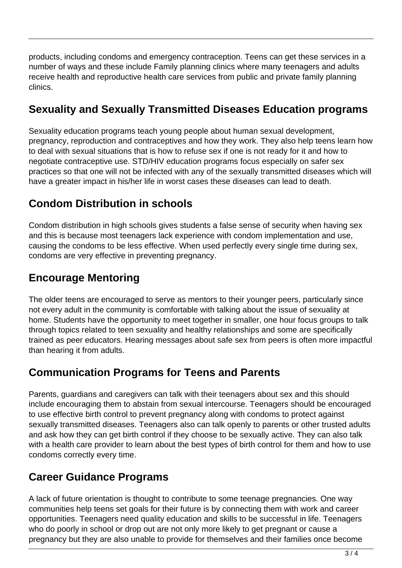products, including condoms and emergency contraception. Teens can get these services in a number of ways and these include Family planning clinics where many teenagers and adults receive health and reproductive health care services from public and private family planning clinics.

# **Sexuality and Sexually Transmitted Diseases Education programs**

Sexuality education programs teach young people about human sexual development, pregnancy, reproduction and contraceptives and how they work. They also help teens learn how to deal with sexual situations that is how to refuse sex if one is not ready for it and how to negotiate contraceptive use. STD/HIV education programs focus especially on safer sex practices so that one will not be infected with any of the sexually transmitted diseases which will have a greater impact in his/her life in worst cases these diseases can lead to death.

### **Condom Distribution in schools**

Condom distribution in high schools gives students a false sense of security when having sex and this is because most teenagers lack experience with condom implementation and use, causing the condoms to be less effective. When used perfectly every single time during sex, condoms are very effective in preventing pregnancy.

#### **Encourage Mentoring**

The older teens are encouraged to serve as mentors to their younger peers, particularly since not every adult in the community is comfortable with talking about the issue of sexuality at home. Students have the opportunity to meet together in smaller, one hour focus groups to talk through topics related to teen sexuality and healthy relationships and some are specifically trained as peer educators. Hearing messages about safe sex from peers is often more impactful than hearing it from adults.

#### **Communication Programs for Teens and Parents**

Parents, guardians and caregivers can talk with their teenagers about sex and this should include encouraging them to abstain from sexual intercourse. Teenagers should be encouraged to use effective birth control to prevent pregnancy along with condoms to protect against sexually transmitted diseases. Teenagers also can talk openly to parents or other trusted adults and ask how they can get birth control if they choose to be sexually active. They can also talk with a health care provider to learn about the best types of birth control for them and how to use condoms correctly every time.

#### **Career Guidance Programs**

A lack of future orientation is thought to contribute to some teenage pregnancies. One way communities help teens set goals for their future is by connecting them with work and career opportunities. Teenagers need quality education and skills to be successful in life. Teenagers who do poorly in school or drop out are not only more likely to get pregnant or cause a pregnancy but they are also unable to provide for themselves and their families once become